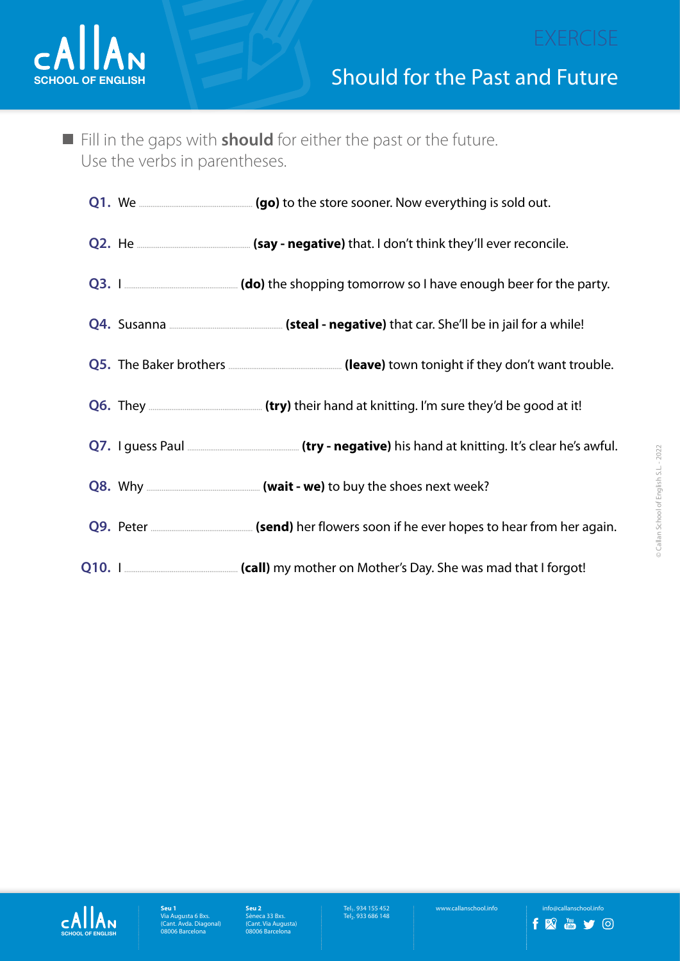

n Fill in the gaps with **should** for either the past or the future. Use the verbs in parentheses.

|  | Q3. I <u>Equator summal section</u> and the shopping tomorrow so I have enough beer for the party. |
|--|----------------------------------------------------------------------------------------------------|
|  |                                                                                                    |
|  |                                                                                                    |
|  | Q6. They <u>Came and the set of their hand at knitting.</u> I'm sure they'd be good at it!         |
|  |                                                                                                    |
|  |                                                                                                    |
|  |                                                                                                    |
|  | Q10. I <u>And The Call</u> my mother on Mother's Day. She was mad that I forgot!                   |



Tel<sub>1</sub>. 934 155 452<br>Tel<sub>2</sub>. 933 686 148